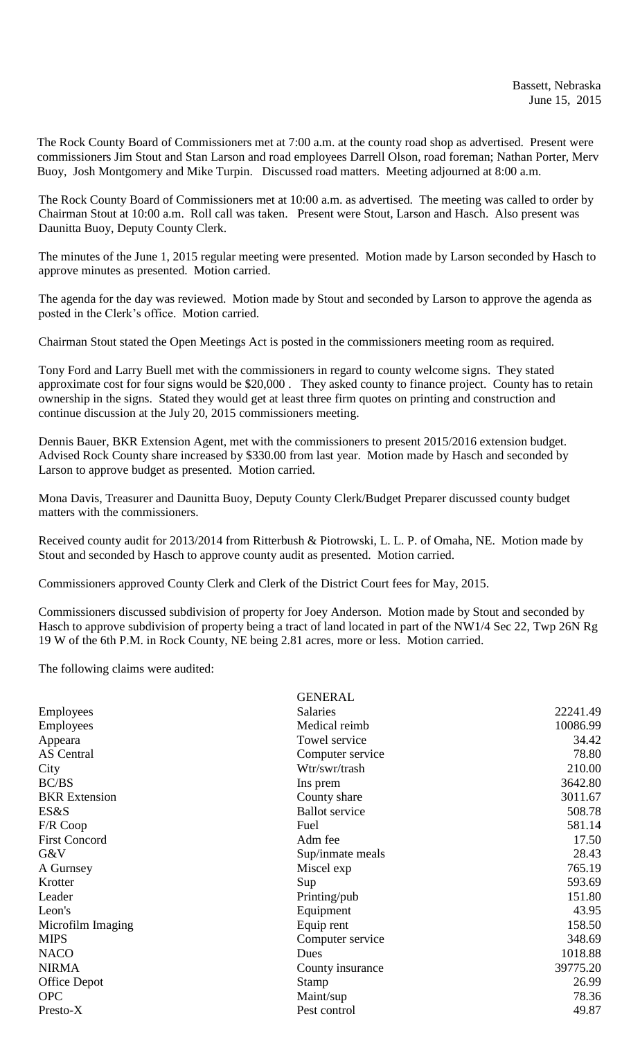The Rock County Board of Commissioners met at 7:00 a.m. at the county road shop as advertised. Present were commissioners Jim Stout and Stan Larson and road employees Darrell Olson, road foreman; Nathan Porter, Merv Buoy, Josh Montgomery and Mike Turpin. Discussed road matters. Meeting adjourned at 8:00 a.m.

The Rock County Board of Commissioners met at 10:00 a.m. as advertised. The meeting was called to order by Chairman Stout at 10:00 a.m. Roll call was taken. Present were Stout, Larson and Hasch. Also present was Daunitta Buoy, Deputy County Clerk.

The minutes of the June 1, 2015 regular meeting were presented. Motion made by Larson seconded by Hasch to approve minutes as presented. Motion carried.

The agenda for the day was reviewed. Motion made by Stout and seconded by Larson to approve the agenda as posted in the Clerk's office. Motion carried.

Chairman Stout stated the Open Meetings Act is posted in the commissioners meeting room as required.

Tony Ford and Larry Buell met with the commissioners in regard to county welcome signs. They stated approximate cost for four signs would be \$20,000 . They asked county to finance project. County has to retain ownership in the signs. Stated they would get at least three firm quotes on printing and construction and continue discussion at the July 20, 2015 commissioners meeting.

Dennis Bauer, BKR Extension Agent, met with the commissioners to present 2015/2016 extension budget. Advised Rock County share increased by \$330.00 from last year. Motion made by Hasch and seconded by Larson to approve budget as presented. Motion carried.

Mona Davis, Treasurer and Daunitta Buoy, Deputy County Clerk/Budget Preparer discussed county budget matters with the commissioners.

Received county audit for 2013/2014 from Ritterbush & Piotrowski, L. L. P. of Omaha, NE. Motion made by Stout and seconded by Hasch to approve county audit as presented. Motion carried.

Commissioners approved County Clerk and Clerk of the District Court fees for May, 2015.

Commissioners discussed subdivision of property for Joey Anderson. Motion made by Stout and seconded by Hasch to approve subdivision of property being a tract of land located in part of the NW1/4 Sec 22, Twp 26N Rg 19 W of the 6th P.M. in Rock County, NE being 2.81 acres, more or less. Motion carried.

The following claims were audited:

|                      | <b>GENERAL</b>        |          |
|----------------------|-----------------------|----------|
| <b>Employees</b>     | <b>Salaries</b>       | 22241.49 |
| Employees            | Medical reimb         | 10086.99 |
| Appeara              | Towel service         | 34.42    |
| <b>AS</b> Central    | Computer service      | 78.80    |
| City                 | Wtr/swr/trash         | 210.00   |
| BC/BS                | Ins prem              | 3642.80  |
| <b>BKR</b> Extension | County share          | 3011.67  |
| ES&S                 | <b>Ballot</b> service | 508.78   |
| F/R Coop             | Fuel                  | 581.14   |
| <b>First Concord</b> | Adm fee               | 17.50    |
| G&V                  | Sup/inmate meals      | 28.43    |
| A Gurnsey            | Miscel exp            | 765.19   |
| Krotter              | Sup                   | 593.69   |
| Leader               | Printing/pub          | 151.80   |
| Leon's               | Equipment             | 43.95    |
| Microfilm Imaging    | Equip rent            | 158.50   |
| <b>MIPS</b>          | Computer service      | 348.69   |
| <b>NACO</b>          | Dues                  | 1018.88  |
| <b>NIRMA</b>         | County insurance      | 39775.20 |
| <b>Office Depot</b>  | <b>Stamp</b>          | 26.99    |
| <b>OPC</b>           | Maint/sup             | 78.36    |
| Presto-X             | Pest control          | 49.87    |
|                      |                       |          |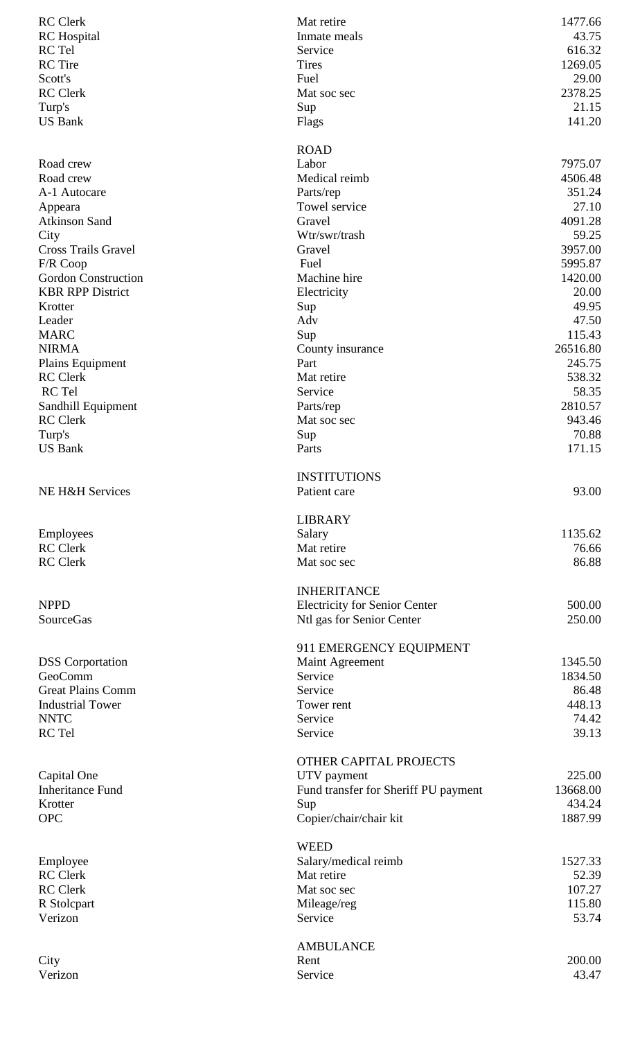| <b>RC</b> Clerk            | Mat retire                           | 1477.66         |
|----------------------------|--------------------------------------|-----------------|
| <b>RC</b> Hospital         | Inmate meals                         | 43.75           |
| RC Tel                     | Service                              | 616.32          |
| <b>RC</b> Tire             | <b>Tires</b>                         | 1269.05         |
| Scott's                    | Fuel                                 | 29.00           |
| <b>RC</b> Clerk            | Mat soc sec                          | 2378.25         |
| Turp's                     | Sup                                  | 21.15           |
| <b>US Bank</b>             | Flags                                | 141.20          |
|                            | <b>ROAD</b>                          |                 |
| Road crew                  | Labor                                | 7975.07         |
| Road crew                  | Medical reimb                        | 4506.48         |
| A-1 Autocare               | Parts/rep                            | 351.24          |
| Appeara                    | Towel service                        | 27.10           |
| <b>Atkinson Sand</b>       | Gravel                               | 4091.28         |
| City                       | Wtr/swr/trash                        | 59.25           |
| <b>Cross Trails Gravel</b> | Gravel                               | 3957.00         |
| F/R Coop                   | Fuel                                 | 5995.87         |
| <b>Gordon Construction</b> | Machine hire                         | 1420.00         |
| <b>KBR RPP District</b>    | Electricity                          | 20.00           |
| Krotter                    | Sup                                  | 49.95           |
| Leader                     | Adv                                  | 47.50           |
| <b>MARC</b>                | Sup                                  | 115.43          |
| <b>NIRMA</b>               | County insurance                     | 26516.80        |
| Plains Equipment           | Part                                 | 245.75          |
| <b>RC</b> Clerk            | Mat retire                           | 538.32          |
| RC Tel                     | Service                              | 58.35           |
| Sandhill Equipment         | Parts/rep                            | 2810.57         |
| <b>RC</b> Clerk            | Mat soc sec                          | 943.46          |
| Turp's                     | Sup                                  | 70.88           |
| <b>US Bank</b>             | Parts                                | 171.15          |
|                            | <b>INSTITUTIONS</b>                  |                 |
| NE H&H Services            | Patient care                         | 93.00           |
|                            | <b>LIBRARY</b>                       |                 |
| Employees                  | Salary                               | 1135.62         |
| <b>RC</b> Clerk            | Mat retire                           | 76.66           |
| <b>RC</b> Clerk            | Mat soc sec                          | 86.88           |
|                            |                                      |                 |
|                            | <b>INHERITANCE</b>                   |                 |
| <b>NPPD</b>                | <b>Electricity for Senior Center</b> | 500.00          |
| SourceGas                  | Ntl gas for Senior Center            | 250.00          |
|                            | 911 EMERGENCY EQUIPMENT              |                 |
| <b>DSS</b> Corportation    | Maint Agreement                      | 1345.50         |
| GeoComm                    | Service                              | 1834.50         |
| <b>Great Plains Comm</b>   | Service                              | 86.48           |
| <b>Industrial Tower</b>    | Tower rent                           | 448.13          |
| <b>NNTC</b>                | Service                              | 74.42           |
| RC Tel                     | Service                              | 39.13           |
|                            | OTHER CAPITAL PROJECTS               |                 |
| Capital One                | UTV payment                          | 225.00          |
| <b>Inheritance Fund</b>    | Fund transfer for Sheriff PU payment | 13668.00        |
| Krotter                    | Sup                                  | 434.24          |
| <b>OPC</b>                 | Copier/chair/chair kit               | 1887.99         |
|                            | <b>WEED</b>                          |                 |
| Employee                   | Salary/medical reimb                 | 1527.33         |
|                            |                                      |                 |
|                            |                                      |                 |
| <b>RC</b> Clerk            | Mat retire                           | 52.39           |
| <b>RC</b> Clerk            | Mat soc sec                          | 107.27          |
| R Stolcpart<br>Verizon     | Mileage/reg<br>Service               | 115.80<br>53.74 |
|                            |                                      |                 |
|                            | <b>AMBULANCE</b>                     |                 |
| City<br>Verizon            | Rent<br>Service                      | 200.00<br>43.47 |